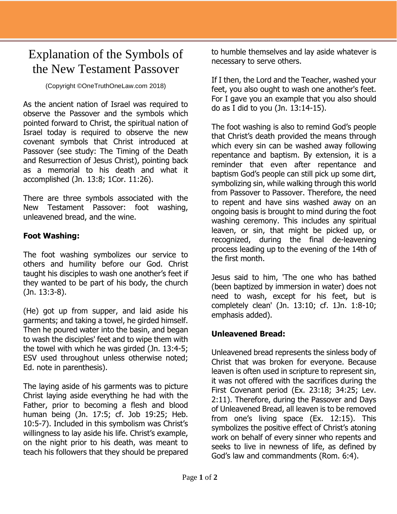## Explanation of the Symbols of the New Testament Passover

(Copyright ©OneTruthOneLaw.com 2018)

As the ancient nation of Israel was required to observe the Passover and the symbols which pointed forward to Christ, the spiritual nation of Israel today is required to observe the new covenant symbols that Christ introduced at Passover (see study: The Timing of the Death and Resurrection of Jesus Christ), pointing back as a memorial to his death and what it accomplished (Jn. 13:8; 1Cor. 11:26).

There are three symbols associated with the New Testament Passover: foot washing, unleavened bread, and the wine.

## **Foot Washing:**

The foot washing symbolizes our service to others and humility before our God. Christ taught his disciples to wash one another's feet if they wanted to be part of his body, the church (Jn. 13:3-8).

(He) got up from supper, and laid aside his garments; and taking a towel, he girded himself. Then he poured water into the basin, and began to wash the disciples' feet and to wipe them with the towel with which he was girded (Jn. 13:4-5; ESV used throughout unless otherwise noted; Ed. note in parenthesis).

The laying aside of his garments was to picture Christ laying aside everything he had with the Father, prior to becoming a flesh and blood human being (Jn. 17:5; cf. Job 19:25; Heb. 10:5-7). Included in this symbolism was Christ's willingness to lay aside his life. Christ's example, on the night prior to his death, was meant to teach his followers that they should be prepared

to humble themselves and lay aside whatever is necessary to serve others.

If I then, the Lord and the Teacher, washed your feet, you also ought to wash one another's feet. For I gave you an example that you also should do as I did to you (Jn. 13:14-15).

The foot washing is also to remind God's people that Christ's death provided the means through which every sin can be washed away following repentance and baptism. By extension, it is a reminder that even after repentance and baptism God's people can still pick up some dirt, symbolizing sin, while walking through this world from Passover to Passover. Therefore, the need to repent and have sins washed away on an ongoing basis is brought to mind during the foot washing ceremony. This includes any spiritual leaven, or sin, that might be picked up, or recognized, during the final de-leavening process leading up to the evening of the 14th of the first month.

Jesus said to him, 'The one who has bathed (been baptized by immersion in water) does not need to wash, except for his feet, but is completely clean' (Jn. 13:10; cf. 1Jn. 1:8-10; emphasis added).

## **Unleavened Bread:**

Unleavened bread represents the sinless body of Christ that was broken for everyone. Because leaven is often used in scripture to represent sin, it was not offered with the sacrifices during the First Covenant period (Ex. 23:18; 34:25; Lev. 2:11). Therefore, during the Passover and Days of Unleavened Bread, all leaven is to be removed from one's living space (Ex. 12:15). This symbolizes the positive effect of Christ's atoning work on behalf of every sinner who repents and seeks to live in newness of life, as defined by God's law and commandments (Rom. 6:4).